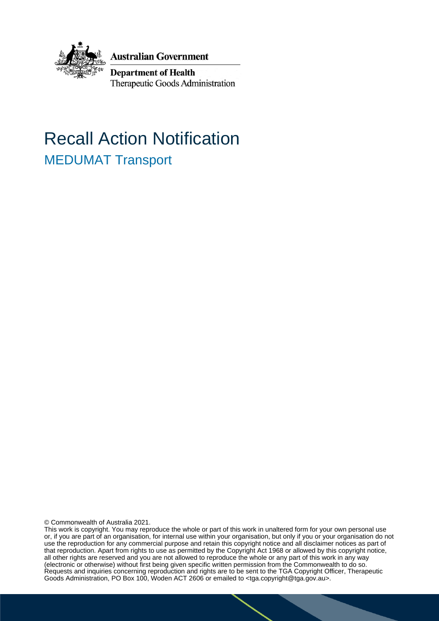

**Australian Government** 

**Department of Health** Therapeutic Goods Administration

# Recall Action Notification MEDUMAT Transport

© Commonwealth of Australia 2021.

This work is copyright. You may reproduce the whole or part of this work in unaltered form for your own personal use or, if you are part of an organisation, for internal use within your organisation, but only if you or your organisation do not use the reproduction for any commercial purpose and retain this copyright notice and all disclaimer notices as part of that reproduction. Apart from rights to use as permitted by the Copyright Act 1968 or allowed by this copyright notice, all other rights are reserved and you are not allowed to reproduce the whole or any part of this work in any way (electronic or otherwise) without first being given specific written permission from the Commonwealth to do so. Requests and inquiries concerning reproduction and rights are to be sent to the TGA Copyright Officer, Therapeutic Goods Administration, PO Box 100, Woden ACT 2606 or emailed to <tga.copyright@tga.gov.au>.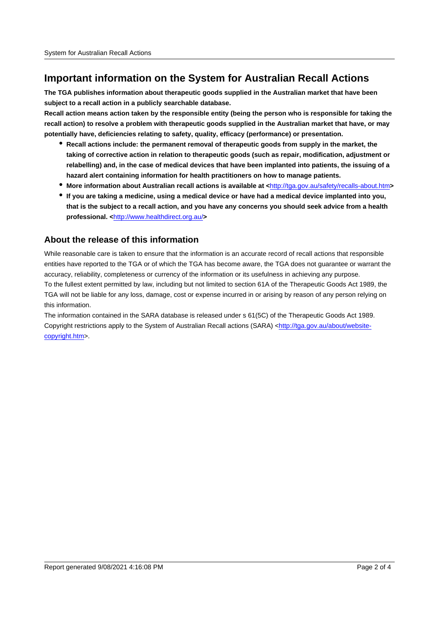## **Important information on the System for Australian Recall Actions**

**The TGA publishes information about therapeutic goods supplied in the Australian market that have been subject to a recall action in a publicly searchable database.**

**Recall action means action taken by the responsible entity (being the person who is responsible for taking the recall action) to resolve a problem with therapeutic goods supplied in the Australian market that have, or may potentially have, deficiencies relating to safety, quality, efficacy (performance) or presentation.**

- **Recall actions include: the permanent removal of therapeutic goods from supply in the market, the taking of corrective action in relation to therapeutic goods (such as repair, modification, adjustment or relabelling) and, in the case of medical devices that have been implanted into patients, the issuing of a hazard alert containing information for health practitioners on how to manage patients.**
- **More information about Australian recall actions is available at <**http://tga.gov.au/safety/recalls-about.htm**>**
- **If you are taking a medicine, using a medical device or have had a medical device implanted into you, that is the subject to a recall action, and you have any concerns you should seek advice from a health professional. <**http://www.healthdirect.org.au/**>**

#### **About the release of this information**

While reasonable care is taken to ensure that the information is an accurate record of recall actions that responsible entities have reported to the TGA or of which the TGA has become aware, the TGA does not guarantee or warrant the accuracy, reliability, completeness or currency of the information or its usefulness in achieving any purpose. To the fullest extent permitted by law, including but not limited to section 61A of the Therapeutic Goods Act 1989, the TGA will not be liable for any loss, damage, cost or expense incurred in or arising by reason of any person relying on this information.

The information contained in the SARA database is released under s 61(5C) of the Therapeutic Goods Act 1989. Copyright restrictions apply to the System of Australian Recall actions (SARA) <http://tga.gov.au/about/websitecopyright.htm>.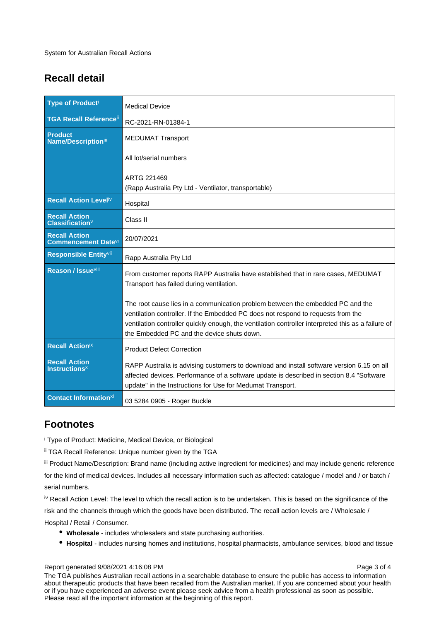# **Recall detail**

| <b>Type of Producti</b>                                        | <b>Medical Device</b>                                                                                                                                                                                                                                                                                                  |
|----------------------------------------------------------------|------------------------------------------------------------------------------------------------------------------------------------------------------------------------------------------------------------------------------------------------------------------------------------------------------------------------|
| <b>TGA Recall Reference</b> ii                                 | RC-2021-RN-01384-1                                                                                                                                                                                                                                                                                                     |
| <b>Product</b><br><b>Name/Description</b> iii                  | <b>MEDUMAT Transport</b>                                                                                                                                                                                                                                                                                               |
|                                                                | All lot/serial numbers                                                                                                                                                                                                                                                                                                 |
|                                                                | ARTG 221469                                                                                                                                                                                                                                                                                                            |
|                                                                | (Rapp Australia Pty Ltd - Ventilator, transportable)                                                                                                                                                                                                                                                                   |
| Recall Action Leveliv                                          | Hospital                                                                                                                                                                                                                                                                                                               |
| <b>Recall Action</b><br><b>Classification</b> <sup>V</sup>     | Class II                                                                                                                                                                                                                                                                                                               |
| <b>Recall Action</b><br><b>Commencement Date</b> <sup>vi</sup> | 20/07/2021                                                                                                                                                                                                                                                                                                             |
| Responsible Entityvii                                          | Rapp Australia Pty Ltd                                                                                                                                                                                                                                                                                                 |
| Reason / Issue <sup>viii</sup>                                 | From customer reports RAPP Australia have established that in rare cases, MEDUMAT<br>Transport has failed during ventilation.                                                                                                                                                                                          |
|                                                                | The root cause lies in a communication problem between the embedded PC and the<br>ventilation controller. If the Embedded PC does not respond to requests from the<br>ventilation controller quickly enough, the ventilation controller interpreted this as a failure of<br>the Embedded PC and the device shuts down. |
| <b>Recall Actionix</b>                                         | <b>Product Defect Correction</b>                                                                                                                                                                                                                                                                                       |
| <b>Recall Action</b><br><b>Instructions<sup>x</sup></b>        | RAPP Australia is advising customers to download and install software version 6.15 on all<br>affected devices. Performance of a software update is described in section 8.4 "Software<br>update" in the Instructions for Use for Medumat Transport.                                                                    |
| <b>Contact Informationxi</b>                                   | 03 5284 0905 - Roger Buckle                                                                                                                                                                                                                                                                                            |

## **Footnotes**

i Type of Product: Medicine, Medical Device, or Biological

ii TGA Recall Reference: Unique number given by the TGA

iii Product Name/Description: Brand name (including active ingredient for medicines) and may include generic reference for the kind of medical devices. Includes all necessary information such as affected: catalogue / model and / or batch / serial numbers.

iv Recall Action Level: The level to which the recall action is to be undertaken. This is based on the significance of the risk and the channels through which the goods have been distributed. The recall action levels are / Wholesale /

Hospital / Retail / Consumer.

- **Wholesale** includes wholesalers and state purchasing authorities.
- **Hospital** includes nursing homes and institutions, hospital pharmacists, ambulance services, blood and tissue

Report generated 9/08/2021 4:16:08 PM

The TGA publishes Australian recall actions in a searchable database to ensure the public has access to information about therapeutic products that have been recalled from the Australian market. If you are concerned about your health or if you have experienced an adverse event please seek advice from a health professional as soon as possible. Please read all the important information at the beginning of this report.